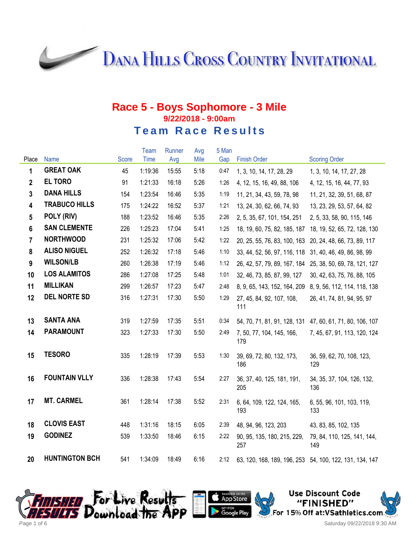**DANA HILLS CROSS COUNTRY INVITATIONAL** 

|                |                       |              | Team        | Runner | Avg  | 5 Man |                                    |                                                         |
|----------------|-----------------------|--------------|-------------|--------|------|-------|------------------------------------|---------------------------------------------------------|
| Place          | <b>Name</b>           | <b>Score</b> | <b>Time</b> | Avg    | Mile | Gap   | <b>Finish Order</b>                | <b>Scoring Order</b>                                    |
| 1              | <b>GREAT OAK</b>      | 45           | 1:19:36     | 15:55  | 5:18 | 0:47  | 1, 3, 10, 14, 17, 28, 29           | 1, 3, 10, 14, 17, 27, 28                                |
| $\mathbf{2}$   | <b>EL TORO</b>        | 91           | 1:21:33     | 16:18  | 5:26 | 1:26  | 4, 12, 15, 16, 49, 88, 106         | 4, 12, 15, 16, 44, 77, 93                               |
| $\overline{3}$ | <b>DANA HILLS</b>     | 154          | 1:23:54     | 16:46  | 5:35 | 1:19  | 11, 21, 34, 43, 59, 78, 98         | 11, 21, 32, 39, 51, 68, 87                              |
| 4              | <b>TRABUCO HILLS</b>  | 175          | 1:24:22     | 16:52  | 5:37 | 1:21  | 13, 24, 30, 62, 66, 74, 93         | 13, 23, 29, 53, 57, 64, 82                              |
| 5              | POLY (RIV)            | 188          | 1:23:52     | 16:46  | 5:35 | 2:26  | 2, 5, 35, 67, 101, 154, 251        | 2, 5, 33, 58, 90, 115, 146                              |
| $6\phantom{1}$ | <b>SAN CLEMENTE</b>   | 226          | 1:25:23     | 17:04  | 5:41 | 1:25  | 18, 19, 60, 75, 82, 185, 187       | 18, 19, 52, 65, 72, 128, 130                            |
| $\overline{7}$ | <b>NORTHWOOD</b>      | 231          | 1:25:32     | 17:06  | 5:42 | 1:22  | 20, 25, 55, 76, 83, 100, 163       | 20, 24, 48, 66, 73, 89, 117                             |
| 8              | <b>ALISO NIGUEL</b>   | 252          | 1:26:32     | 17:18  | 5:46 | 1:10  | 33, 44, 52, 56, 97, 116, 118       | 31, 40, 46, 49, 86, 98, 99                              |
| 9              | <b>WILSON/LB</b>      | 260          | 1:26:38     | 17:19  | 5:46 | 1:12  | 26, 42, 57, 79, 89, 167, 184       | 25, 38, 50, 69, 78, 121, 127                            |
| 10             | <b>LOS ALAMITOS</b>   | 286          | 1:27:08     | 17:25  | 5:48 | 1:01  | 32, 46, 73, 85, 87, 99, 127        | 30, 42, 63, 75, 76, 88, 105                             |
| 11             | <b>MILLIKAN</b>       | 299          | 1:26:57     | 17:23  | 5:47 | 2:48  | 8, 9, 65, 143, 152, 164, 209       | 8, 9, 56, 112, 114, 118, 138                            |
| 12             | <b>DEL NORTE SD</b>   | 316          | 1:27:31     | 17:30  | 5:50 | 1:29  | 27, 45, 84, 92, 107, 108,<br>111   | 26, 41, 74, 81, 94, 95, 97                              |
| 13             | <b>SANTA ANA</b>      | 319          | 1:27:59     | 17:35  | 5:51 | 0:34  | 54, 70, 71, 81, 91, 128, 131       | 47, 60, 61, 71, 80, 106, 107                            |
| 14             | <b>PARAMOUNT</b>      | 323          | 1:27:33     | 17:30  | 5:50 | 2:49  | 7, 50, 77, 104, 145, 166,<br>179   | 7, 45, 67, 91, 113, 120, 124                            |
| 15             | <b>TESORO</b>         | 335          | 1:28:19     | 17:39  | 5:53 | 1:30  | 39, 69, 72, 80, 132, 173,<br>186   | 36, 59, 62, 70, 108, 123,<br>129                        |
| 16             | <b>FOUNTAIN VLLY</b>  | 336          | 1:28:38     | 17:43  | 5:54 | 2:27  | 36, 37, 40, 125, 181, 191,<br>205  | 34, 35, 37, 104, 126, 132,<br>136                       |
| 17             | <b>MT. CARMEL</b>     | 361          | 1:28:14     | 17:38  | 5:52 | 2:31  | 6, 64, 109, 122, 124, 165,<br>193  | 6, 55, 96, 101, 103, 119,<br>133                        |
| 18             | <b>CLOVIS EAST</b>    | 448          | 1:31:16     | 18:15  | 6:05 | 2:39  | 48, 94, 96, 123, 203               | 43, 83, 85, 102, 135                                    |
| 19             | <b>GODINEZ</b>        | 539          | 1:33:50     | 18:46  | 6:15 | 2:22  | 90, 95, 135, 180, 215, 229,<br>257 | 79, 84, 110, 125, 141, 144,<br>149                      |
| 20             | <b>HUNTINGTON BCH</b> | 541          | 1:34:09     | 18:49  | 6:16 | 2:12  |                                    | 63, 120, 168, 189, 196, 253 54, 100, 122, 131, 134, 147 |





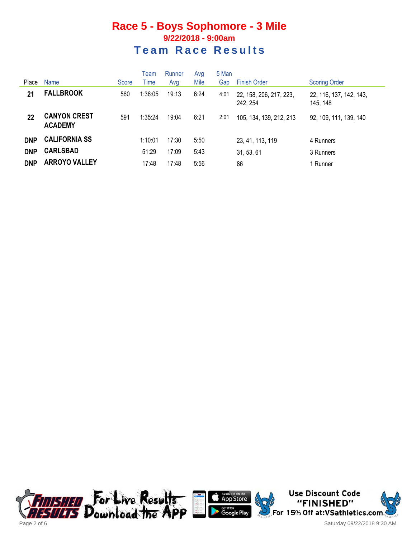|            |                                       |       | Team    | Runner | Avg  | 5 Man |                                     |                                     |
|------------|---------------------------------------|-------|---------|--------|------|-------|-------------------------------------|-------------------------------------|
| Place      | <b>Name</b>                           | Score | Time    | Avg    | Mile | Gap   | <b>Finish Order</b>                 | <b>Scoring Order</b>                |
| 21         | <b>FALLBROOK</b>                      | 560   | 1:36:05 | 19:13  | 6:24 | 4:01  | 22, 158, 206, 217, 223,<br>242, 254 | 22, 116, 137, 142, 143,<br>145, 148 |
| 22         | <b>CANYON CREST</b><br><b>ACADEMY</b> | 591   | 1:35:24 | 19:04  | 6:21 | 2:01  | 105, 134, 139, 212, 213             | 92, 109, 111, 139, 140              |
| <b>DNP</b> | <b>CALIFORNIA SS</b>                  |       | 1:10:01 | 17:30  | 5:50 |       | 23, 41, 113, 119                    | 4 Runners                           |
| <b>DNP</b> | <b>CARLSBAD</b>                       |       | 51:29   | 17:09  | 5:43 |       | 31, 53, 61                          | 3 Runners                           |
| <b>DNP</b> | <b>ARROYO VALLEY</b>                  |       | 17:48   | 17:48  | 5:56 |       | 86                                  | 1 Runner                            |





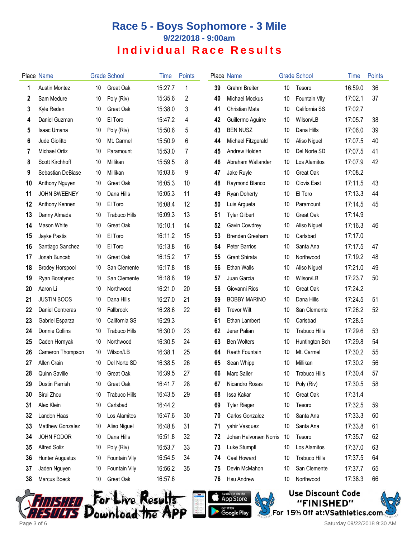|    | Place Name              |    | <b>Grade School</b>  | Time    | <b>Points</b> |    | Place Name             |                 | <b>Grade School</b>  | Time    | <b>Points</b> |
|----|-------------------------|----|----------------------|---------|---------------|----|------------------------|-----------------|----------------------|---------|---------------|
| 1  | <b>Austin Montez</b>    | 10 | Great Oak            | 15:27.7 | 1             | 39 | <b>Grahm Breiter</b>   | 10 <sup>°</sup> | Tesoro               | 16:59.0 | 36            |
| 2  | Sam Medure              | 10 | Poly (Riv)           | 15:35.6 | 2             | 40 | Michael Mockus         | 10              | Fountain VIIy        | 17:02.1 | 37            |
| 3  | Kyle Reden              | 10 | Great Oak            | 15:38.0 | 3             | 41 | Christian Mata         | 10              | California SS        | 17:02.7 |               |
| 4  | Daniel Guzman           | 10 | El Toro              | 15:47.2 | 4             | 42 | Guillermo Aguirre      | 10              | Wilson/LB            | 17:05.7 | 38            |
| 5  | <b>Isaac Umana</b>      | 10 | Poly (Riv)           | 15:50.6 | 5             | 43 | <b>BEN NUSZ</b>        | 10              | Dana Hills           | 17:06.0 | 39            |
| 6  | Jude Giolitto           | 10 | Mt. Carmel           | 15:50.9 | 6             | 44 | Michael Fitzgerald     | 10              | Aliso Niguel         | 17:07.5 | 40            |
| 7  | Michael Ortiz           | 10 | Paramount            | 15:53.0 | 7             | 45 | Andrew Holden          | 10              | Del Norte SD         | 17:07.5 | 41            |
| 8  | Scott Kirchhoff         | 10 | Millikan             | 15:59.5 | 8             | 46 | Abraham Wallander      | 10              | Los Alamitos         | 17:07.9 | 42            |
| 9  | Sebastian DeBiase       | 10 | Millikan             | 16:03.6 | 9             | 47 | Jake Ruyle             | 10              | Great Oak            | 17:08.2 |               |
| 10 | Anthony Nguyen          | 10 | Great Oak            | 16:05.3 | 10            | 48 | Raymond Blanco         | 10              | <b>Clovis East</b>   | 17:11.5 | 43            |
| 11 | <b>JOHN SWEENEY</b>     | 10 | Dana Hills           | 16:05.3 | 11            | 49 | <b>Ryan Doherty</b>    | 10              | El Toro              | 17:13.3 | 44            |
| 12 | Anthony Kennen          | 10 | El Toro              | 16:08.4 | 12            | 50 | Luis Argueta           | 10              | Paramount            | 17:14.5 | 45            |
| 13 | Danny Almada            | 10 | <b>Trabuco Hills</b> | 16:09.3 | 13            | 51 | <b>Tyler Gilbert</b>   | 10              | Great Oak            | 17:14.9 |               |
| 14 | Mason White             | 10 | Great Oak            | 16:10.1 | 14            | 52 | Gavin Cowdrey          | 10              | Aliso Niguel         | 17:16.3 | 46            |
| 15 | Jayke Pastis            | 10 | El Toro              | 16:11.2 | 15            | 53 | Brenden Gresham        | 10              | Carlsbad             | 17:17.0 |               |
| 16 | Santiago Sanchez        | 10 | El Toro              | 16:13.8 | 16            | 54 | Peter Barrios          | 10              | Santa Ana            | 17:17.5 | 47            |
| 17 | Jonah Buncab            | 10 | Great Oak            | 16:15.2 | 17            | 55 | <b>Grant Shirata</b>   | 10              | Northwood            | 17:19.2 | 48            |
| 18 | <b>Brodey Horspool</b>  | 10 | San Clemente         | 16:17.8 | 18            | 56 | <b>Ethan Walls</b>     | 10              | Aliso Niguel         | 17:21.0 | 49            |
| 19 | Ryan Boratynec          | 10 | San Clemente         | 16:18.8 | 19            | 57 | Juan Garcia            | 10              | Wilson/LB            | 17:23.7 | 50            |
| 20 | Aaron Li                | 10 | Northwood            | 16:21.0 | 20            | 58 | Giovanni Rios          | 10              | Great Oak            | 17:24.2 |               |
| 21 | <b>JUSTIN BOOS</b>      | 10 | Dana Hills           | 16:27.0 | 21            | 59 | <b>BOBBY MARINO</b>    | 10              | Dana Hills           | 17:24.5 | 51            |
| 22 | <b>Daniel Contreras</b> | 10 | Fallbrook            | 16:28.6 | 22            | 60 | <b>Trevor Wilt</b>     | 10              | San Clemente         | 17:26.2 | 52            |
| 23 | Gabriel Esparza         | 10 | California SS        | 16:29.3 |               | 61 | Ethan Lambert          | 10              | Carlsbad             | 17:28.5 |               |
| 24 | Donnie Collins          | 10 | <b>Trabuco Hills</b> | 16:30.0 | 23            | 62 | Jerar Palian           | 10              | <b>Trabuco Hills</b> | 17:29.6 | 53            |
| 25 | Caden Hornyak           | 10 | Northwood            | 16:30.5 | 24            | 63 | <b>Ben Wolters</b>     | 10              | Huntington Bch       | 17:29.8 | 54            |
| 26 | Cameron Thompson        | 10 | Wilson/LB            | 16:38.1 | 25            | 64 | Raeth Fountain         | 10              | Mt. Carmel           | 17:30.2 | 55            |
| 27 | Allen Crain             | 10 | Del Norte SD         | 16:38.5 | 26            | 65 | Sean Whipp             | 10              | Millikan             | 17:30.2 | 56            |
| 28 | Quinn Saville           | 10 | Great Oak            | 16:39.5 | 27            | 66 | Marc Sailer            | 10              | Trabuco Hills        | 17:30.4 | 57            |
| 29 | Dustin Parrish          | 10 | Great Oak            | 16:41.7 | 28            | 67 | Nicandro Rosas         | 10              | Poly (Riv)           | 17:30.5 | 58            |
| 30 | Sirui Zhou              | 10 | <b>Trabuco Hills</b> | 16:43.5 | 29            | 68 | Issa Kakar             | 10              | Great Oak            | 17:31.4 |               |
| 31 | Alex Klein              | 10 | Carlsbad             | 16:44.2 |               | 69 | <b>Tyler Rieger</b>    | 10              | Tesoro               | 17:32.5 | 59            |
| 32 | Landon Haas             | 10 | Los Alamitos         | 16:47.6 | 30            | 70 | Carlos Gonzalez        | 10              | Santa Ana            | 17:33.3 | 60            |
| 33 | Matthew Gonzalez        | 10 | Aliso Niguel         | 16:48.8 | 31            | 71 | yahir Vasquez          | 10              | Santa Ana            | 17:33.8 | 61            |
| 34 | <b>JOHN FODOR</b>       | 10 | Dana Hills           | 16:51.8 | 32            | 72 | Johan Halvorsen Norris | 10              | Tesoro               | 17:35.7 | 62            |
| 35 | Alfred Soliz            | 10 | Poly (Riv)           | 16:53.7 | 33            | 73 | Luke Stumpfl           | 10              | Los Alamitos         | 17:37.0 | 63            |
| 36 | <b>Hunter Augustus</b>  | 10 | Fountain VIIy        | 16:54.5 | 34            | 74 | Cael Howard            | 10              | <b>Trabuco Hills</b> | 17:37.5 | 64            |
| 37 | Jaden Nguyen            | 10 | Fountain VIIy        | 16:56.2 | 35            | 75 | Devin McMahon          | 10              | San Clemente         | 17:37.7 | 65            |
| 38 | Marcus Boeck            | 10 | Great Oak            | 16:57.6 |               | 76 | Hsu Andrew             | 10              | Northwood            | 17:38.3 | 66            |





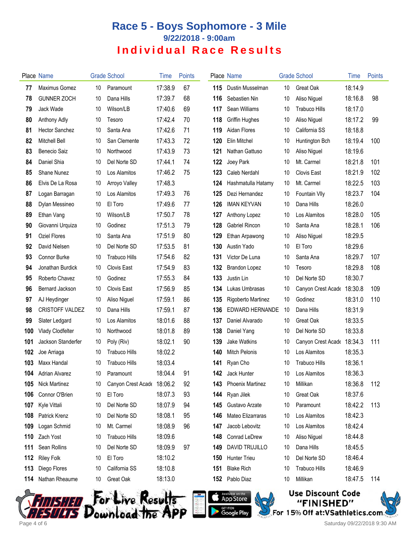|     | Place Name             |    | <b>Grade School</b>        | Time    | <b>Points</b> |     | Place Name              |    | <b>Grade School</b>  | Time    | Points |
|-----|------------------------|----|----------------------------|---------|---------------|-----|-------------------------|----|----------------------|---------|--------|
| 77  | Maximus Gomez          | 10 | Paramount                  | 17:38.9 | 67            | 115 | Dustin Musselman        | 10 | Great Oak            | 18:14.9 |        |
| 78  | <b>GUNNER ZOCH</b>     | 10 | Dana Hills                 | 17:39.7 | 68            | 116 | Sebastien Nin           | 10 | Aliso Niguel         | 18:16.8 | 98     |
| 79  | Jack Wade              | 10 | Wilson/LB                  | 17:40.6 | 69            | 117 | Sean Williams           | 10 | <b>Trabuco Hills</b> | 18:17.0 |        |
| 80  | Anthony Adly           | 10 | Tesoro                     | 17:42.4 | 70            | 118 | Griffin Hughes          | 10 | Aliso Niguel         | 18:17.2 | 99     |
| 81  | <b>Hector Sanchez</b>  | 10 | Santa Ana                  | 17:42.6 | 71            | 119 | Aidan Flores            | 10 | California SS        | 18:18.8 |        |
| 82  | Mitchell Bell          | 10 | San Clemente               | 17:43.3 | 72            | 120 | Elin Mitchel            | 10 | Huntington Bch       | 18:19.4 | 100    |
| 83  | Benecio Saiz           | 10 | Northwood                  | 17:43.9 | 73            | 121 | Nathan Gattuso          | 10 | Aliso Niguel         | 18:19.6 |        |
| 84  | Daniel Shia            | 10 | Del Norte SD               | 17:44.1 | 74            | 122 | Joey Park               | 10 | Mt. Carmel           | 18:21.8 | 101    |
| 85  | <b>Shane Nunez</b>     | 10 | Los Alamitos               | 17:46.2 | 75            | 123 | Caleb Nerdahl           | 10 | <b>Clovis East</b>   | 18:21.9 | 102    |
| 86  | Elvis De La Rosa       | 10 | Arroyo Valley              | 17:48.3 |               | 124 | Hashmatulla Hatamy      | 10 | Mt. Carmel           | 18:22.5 | 103    |
| 87  | Logan Barragan         | 10 | Los Alamitos               | 17:49.3 | 76            | 125 | Dezi Hernandez          | 10 | <b>Fountain VIIy</b> | 18:23.7 | 104    |
| 88  | Dylan Messineo         | 10 | El Toro                    | 17:49.6 | 77            | 126 | <b>IMAN KEYVAN</b>      | 10 | Dana Hills           | 18:26.0 |        |
| 89  | Ethan Vang             | 10 | Wilson/LB                  | 17:50.7 | 78            | 127 | Anthony Lopez           | 10 | Los Alamitos         | 18:28.0 | 105    |
| 90  | Giovanni Urquiza       | 10 | Godinez                    | 17:51.3 | 79            | 128 | Gabriel Rincon          | 10 | Santa Ana            | 18:28.1 | 106    |
| 91  | Oziel Flores           | 10 | Santa Ana                  | 17:51.9 | 80            | 129 | Ethan Arpawong          | 10 | Aliso Niguel         | 18:29.5 |        |
| 92  | David Nielsen          | 10 | Del Norte SD               | 17:53.5 | 81            | 130 | Austin Yado             | 10 | El Toro              | 18:29.6 |        |
| 93  | <b>Connor Burke</b>    | 10 | <b>Trabuco Hills</b>       | 17:54.6 | 82            | 131 | Victor De Luna          | 10 | Santa Ana            | 18:29.7 | 107    |
| 94  | Jonathan Burdick       | 10 | Clovis East                | 17:54.9 | 83            | 132 | Brandon Lopez           | 10 | Tesoro               | 18:29.8 | 108    |
| 95  | Roberto Chavez         | 10 | Godinez                    | 17:55.3 | 84            | 133 | Justin Lin              | 10 | Del Norte SD         | 18:30.7 |        |
| 96  | Bernard Jackson        | 10 | Clovis East                | 17:56.9 | 85            | 134 | Lukas Umbrasas          | 10 | Canyon Crest Acade   | 18:30.8 | 109    |
| 97  | AJ Heydinger           | 10 | Aliso Niguel               | 17:59.1 | 86            | 135 | Rigoberto Martinez      | 10 | Godinez              | 18:31.0 | 110    |
| 98  | <b>CRISTOFF VALDEZ</b> | 10 | Dana Hills                 | 17:59.1 | 87            | 136 | EDWARD HERNANDE         | 10 | Dana Hills           | 18:31.9 |        |
| 99  | Slater Ledgard         | 10 | Los Alamitos               | 18:01.6 | 88            | 137 | Daniel Alvarado         | 10 | Great Oak            | 18:33.5 |        |
| 100 | Vlady Clodfelter       | 10 | Northwood                  | 18:01.8 | 89            | 138 | Daniel Yang             | 10 | Del Norte SD         | 18:33.8 |        |
| 101 | Jackson Standerfer     | 10 | Poly (Riv)                 | 18:02.1 | 90            | 139 | <b>Jake Watkins</b>     | 10 | Canyon Crest Acade   | 18:34.3 | 111    |
| 102 | Joe Arriaga            | 10 | <b>Trabuco Hills</b>       | 18:02.2 |               | 140 | <b>Mitch Pelonis</b>    | 10 | Los Alamitos         | 18:35.3 |        |
| 103 | Maxx Handal            | 10 | <b>Trabuco Hills</b>       | 18:03.4 |               | 141 | Ryan Cho                | 10 | <b>Trabuco Hills</b> | 18:36.1 |        |
| 104 | Adrian Alvarez         | 10 | Paramount                  | 18:04.4 | 91            |     | 142 Jack Hunter         |    | 10 Los Alamitos      | 18:36.3 |        |
| 105 | <b>Nick Martinez</b>   | 10 | Canyon Crest Acade 18:06.2 |         | 92            | 143 | <b>Phoenix Martinez</b> | 10 | Millikan             | 18:36.8 | 112    |
| 106 | Connor O'Brien         | 10 | El Toro                    | 18:07.3 | 93            |     | 144 Ryan Jilek          | 10 | Great Oak            | 18:37.6 |        |
| 107 | Kyle Vittali           | 10 | Del Norte SD               | 18:07.9 | 94            | 145 | Gustavo Arzate          | 10 | Paramount            | 18:42.2 | 113    |
| 108 | Patrick Krenz          | 10 | Del Norte SD               | 18:08.1 | 95            | 146 | Mateo Elizarraras       | 10 | Los Alamitos         | 18:42.3 |        |
| 109 | Logan Schmid           | 10 | Mt. Carmel                 | 18:08.9 | 96            | 147 | Jacob Lebovitz          | 10 | Los Alamitos         | 18:42.4 |        |
| 110 | Zach Yost              | 10 | <b>Trabuco Hills</b>       | 18:09.6 |               | 148 | Conrad LeDrew           | 10 | Aliso Niguel         | 18:44.8 |        |
| 111 | Sean Rollins           | 10 | Del Norte SD               | 18:09.9 | 97            | 149 | <b>DAVID TRUJILLO</b>   | 10 | Dana Hills           | 18:45.5 |        |
| 112 | <b>Riley Folk</b>      | 10 | El Toro                    | 18:10.2 |               | 150 | Hunter Trieu            | 10 | Del Norte SD         | 18:46.4 |        |
| 113 | Diego Flores           | 10 | California SS              | 18:10.8 |               | 151 | <b>Blake Rich</b>       | 10 | <b>Trabuco Hills</b> | 18:46.9 |        |
| 114 | Nathan Rheaume         | 10 | Great Oak                  | 18:13.0 |               | 152 | Pablo Diaz              | 10 | Millikan             | 18:47.5 | 114    |
|     |                        |    |                            |         |               |     |                         |    |                      |         |        |







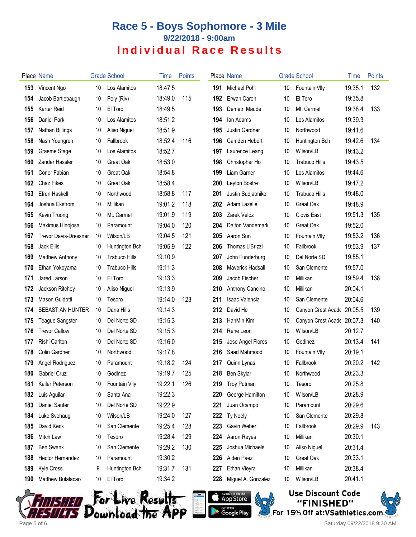|     | Place Name                   |    | <b>Grade School</b>  | <b>l</b> ime | Points |     | Place Name            |    | <b>Grade School</b>        | Time    | <b>Points</b> |
|-----|------------------------------|----|----------------------|--------------|--------|-----|-----------------------|----|----------------------------|---------|---------------|
| 153 | Vincent Ngo                  | 10 | Los Alamitos         | 18:47.5      |        | 191 | Michael Pohl          | 10 | Fountain Vlly              | 19:35.1 | 132           |
| 154 | Jacob Bartlebaugh            | 10 | Poly (Riv)           | 18:49.0      | 115    | 192 | Erwan Caron           | 10 | El Toro                    | 19:35.8 |               |
| 155 | Karter Reid                  | 10 | El Toro              | 18:49.5      |        | 193 | Demetri Maude         | 10 | Mt. Carmel                 | 19:38.4 | 133           |
| 156 | Daniel Park                  | 10 | Los Alamitos         | 18:51.2      |        | 194 | lan Adams             | 10 | Los Alamitos               | 19:39.3 |               |
| 157 | Nathan Billings              | 10 | Aliso Niguel         | 18:51.9      |        | 195 | <b>Justin Gardner</b> | 10 | Northwood                  | 19:41.6 |               |
| 158 | Nash Youngren                | 10 | Fallbrook            | 18:52.4      | 116    | 196 | Camden Hebert         | 10 | Huntington Bch             | 19:42.6 | 134           |
| 159 | Graeme Stage                 | 10 | Los Alamitos         | 18:52.7      |        | 197 | Laurence Leang        | 10 | Wilson/LB                  | 19:43.2 |               |
| 160 | Zander Hassler               | 10 | Great Oak            | 18:53.0      |        | 198 | Christopher Ho        | 10 | Trabuco Hills              | 19:43.5 |               |
| 161 | Conor Fabian                 | 10 | Great Oak            | 18:54.8      |        | 199 | Liam Garner           | 10 | Los Alamitos               | 19:44.6 |               |
| 162 | Chaz Fikes                   | 10 | Great Oak            | 18:58.4      |        | 200 | Leyton Bostre         | 10 | Wilson/LB                  | 19:47.2 |               |
| 163 | <b>Efren Haskell</b>         | 10 | Northwood            | 18:58.8      | 117    | 201 | Justin Sudjatmiko     | 10 | Trabuco Hills              | 19:48.0 |               |
| 164 | Joshua Ekstrom               | 10 | Millikan             | 19:01.2      | 118    | 202 | Adam Lazelle          | 10 | Great Oak                  | 19:48.9 |               |
| 165 | Kevin Truong                 | 10 | Mt. Carmel           | 19:01.9      | 119    | 203 | Zarek Veloz           | 10 | <b>Clovis East</b>         | 19:51.3 | 135           |
| 166 | Maximus Hinojosa             | 10 | Paramount            | 19:04.0      | 120    | 204 | Dalton Vandemark      | 10 | Great Oak                  | 19:52.0 |               |
| 167 | <b>Trevor Davis-Dressner</b> | 10 | Wilson/LB            | 19:04.5      | 121    | 205 | Aaron Sun             | 10 | Fountain VIIy              | 19:53.2 | 136           |
| 168 | Jack Ellis                   | 10 | Huntington Bch       | 19:05.9      | 122    | 206 | Thomas LiBrizzi       | 10 | Fallbrook                  | 19:53.9 | 137           |
| 169 | Matthew Anthony              | 10 | <b>Trabuco Hills</b> | 19:10.9      |        | 207 | John Funderburg       | 10 | Del Norte SD               | 19:55.1 |               |
| 170 | Ethan Yokoyama               | 10 | <b>Trabuco Hills</b> | 19:11.3      |        | 208 | Maverick Hadsall      | 10 | San Clemente               | 19:57.0 |               |
| 171 | Jared Larson                 | 10 | El Toro              | 19:13.3      |        | 209 | Jacob Fischer         | 10 | Millikan                   | 19:59.4 | 138           |
| 172 | Jackson Ritchey              | 10 | Aliso Niguel         | 19:13.9      |        | 210 | Anthony Cancino       | 10 | Millikan                   | 20:04.1 |               |
| 173 | Mason Guidotti               | 10 | Tesoro               | 19:14.0      | 123    | 211 | Isaac Valencia        | 10 | San Clemente               | 20:04.6 |               |
| 174 | <b>SEBASTIAN HUNTER</b>      | 10 | Dana Hills           | 19:14.3      |        | 212 | David He              | 10 | Canyon Crest Acade 20:05.5 |         | 139           |
| 175 | Teague Sangster              | 10 | Del Norte SD         | 19:15.3      |        | 213 | HanMin Kim            | 10 | Canyon Crest Acade 20:07.3 |         | 140           |
| 176 | <b>Trevor Callow</b>         | 10 | Del Norte SD         | 19:15.3      |        | 214 | Rene Leon             | 10 | Wilson/LB                  | 20:12.7 |               |
| 177 | <b>Rishi Carlton</b>         | 10 | Del Norte SD         | 19:16.0      |        | 215 | Jose Angel Flores     | 10 | Godinez                    | 20:13.4 | 141           |
| 178 | <b>Colin Gardner</b>         | 10 | Northwood            | 19:17.8      |        | 216 | Saad Mahmood          | 10 | Fountain VIIy              | 20:19.1 |               |
| 179 | Angel Rodriguez              | 10 | Paramount            | 19:18.2      | 124    | 217 | Quinn Lynas           | 10 | Fallbrook                  | 20:20.2 | 142           |
|     | 180 Gabriel Cruz             | 10 | Godinez              | 19:19.7      | 125    | 218 | Ben Skylar            | 10 | Northwood                  | 20:23.3 |               |
| 181 | Kailer Peterson              | 10 | Fountain VIIy        | 19:22.1      | 126    | 219 | <b>Troy Putman</b>    | 10 | Tesoro                     | 20:25.8 |               |
| 182 | Luis Aguilar                 | 10 | Santa Ana            | 19:22.3      |        | 220 | George Hamilton       | 10 | Wilson/LB                  | 20:28.9 |               |
| 183 | Daniel Sauter                | 10 | Del Norte SD         | 19:22.9      |        | 221 | Juan Ocampo           | 10 | Paramount                  | 20:29.6 |               |
| 184 | Luke Svehaug                 | 10 | Wilson/LB            | 19:24.0      | 127    | 222 | Ty Neely              | 10 | San Clemente               | 20:29.8 |               |
| 185 | David Keck                   | 10 | San Clemente         | 19:25.4      | 128    | 223 | Gavin Weber           | 10 | Fallbrook                  | 20:29.9 | 143           |
| 186 | Mitch Law                    | 10 | Tesoro               | 19:28.4      | 129    | 224 | Aaron Reyes           | 10 | Millikan                   | 20:30.1 |               |
| 187 | Ben Swank                    | 10 | San Clemente         | 19:29.2      | 130    | 225 | Joshua Michaels       | 10 | Aliso Niguel               | 20:31.4 |               |
| 188 | Hector Hernandez             | 10 | Paramount            | 19:30.2      |        | 226 | Aiden Paez            | 10 | Great Oak                  | 20:33.1 |               |
| 189 | <b>Kyle Cross</b>            | 9  | Huntington Bch       | 19:31.7      | 131    | 227 | Ethan Vieyra          | 10 | Millikan                   | 20:38.4 |               |
| 190 | Matthew Bulalacao            | 10 | El Toro              | 19:34.2      |        | 228 | Miguel A. Gonzalez    | 10 | Wilson/LB                  | 20:41.1 |               |